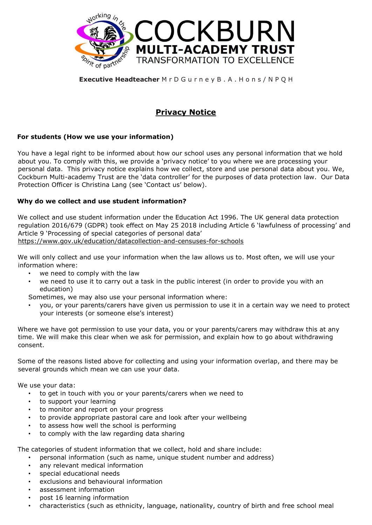

#### **Executive Headteacher** M r D G u r n e y B . A . H o n s / N P Q H

# **Privacy Notice**

### **For students (How we use your information)**

You have a legal right to be informed about how our school uses any personal information that we hold about you. To comply with this, we provide a 'privacy notice' to you where we are processing your personal data. This privacy notice explains how we collect, store and use personal data about you. We, Cockburn Multi-academy Trust are the 'data controller' for the purposes of data protection law. Our Data Protection Officer is Christina Lang (see 'Contact us' below).

#### **Why do we collect and use student information?**

We collect and use student information under the Education Act 1996. The UK general data protection regulation 2016/679 (GDPR) took effect on May 25 2018 including Article 6 'lawfulness of processing' and Article 9 'Processing of special categories of personal data' [https://www.gov.uk/education/datacollection-and-censuses-for-schools](https://www.gov.uk/education/data-collection-and-censuses-for-schools)

We will only collect and use your information when the law allows us to. Most often, we will use your information where:

- we need to comply with the law
- we need to use it to carry out a task in the public interest (in order to provide you with an education)

Sometimes, we may also use your personal information where:

• you, or your parents/carers have given us permission to use it in a certain way we need to protect your interests (or someone else's interest)

Where we have got permission to use your data, you or your parents/carers may withdraw this at any time. We will make this clear when we ask for permission, and explain how to go about withdrawing consent.

Some of the reasons listed above for collecting and using your information overlap, and there may be several grounds which mean we can use your data.

We use your data:

- to get in touch with you or your parents/carers when we need to
- to support your learning
- to monitor and report on your progress
- to provide appropriate pastoral care and look after your wellbeing
- to assess how well the school is performing
- to comply with the law regarding data sharing

The categories of student information that we collect, hold and share include:

- personal information (such as name, unique student number and address)
- any relevant medical information
- special educational needs
- exclusions and behavioural information
- assessment information
- post 16 learning information
- characteristics (such as ethnicity, language, nationality, country of birth and free school meal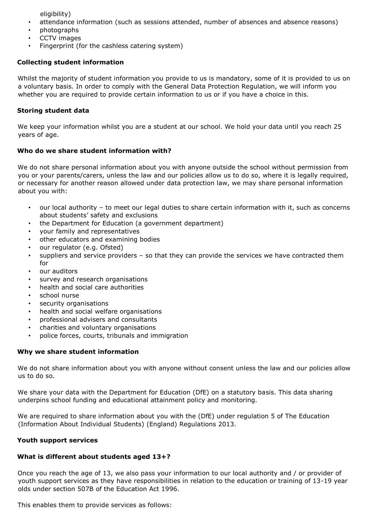eligibility)

- attendance information (such as sessions attended, number of absences and absence reasons)
- photographs
- CCTV images
- Fingerprint (for the cashless catering system)

## **Collecting student information**

Whilst the majority of student information you provide to us is mandatory, some of it is provided to us on a voluntary basis. In order to comply with the General Data Protection Regulation, we will inform you whether you are required to provide certain information to us or if you have a choice in this.

#### **Storing student data**

We keep your information whilst you are a student at our school. We hold your data until you reach 25 years of age.

### **Who do we share student information with?**

We do not share personal information about you with anyone outside the school without permission from you or your parents/carers, unless the law and our policies allow us to do so, where it is legally required, or necessary for another reason allowed under data protection law, we may share personal information about you with:

- our local authority to meet our legal duties to share certain information with it, such as concerns about students' safety and exclusions
- the Department for Education (a government department)
- your family and representatives
- other educators and examining bodies
- our regulator (e.g. Ofsted)
- suppliers and service providers so that they can provide the services we have contracted them for
- our auditors
- survey and research organisations
- health and social care authorities
- school nurse
- security organisations
- health and social welfare organisations
- professional advisers and consultants
- charities and voluntary organisations
- police forces, courts, tribunals and immigration

#### **Why we share student information**

We do not share information about you with anyone without consent unless the law and our policies allow us to do so.

We share your data with the Department for Education (DfE) on a statutory basis. This data sharing underpins school funding and educational attainment policy and monitoring.

We are required to share information about you with the (DfE) under regulation 5 of The Education (Information About Individual Students) (England) Regulations 2013.

#### **Youth support services**

# **What is different about students aged 13+?**

Once you reach the age of 13, we also pass your information to our local authority and / or provider of youth support services as they have responsibilities in relation to the education or training of 13-19 year olds under section 507B of the Education Act 1996.

This enables them to provide services as follows: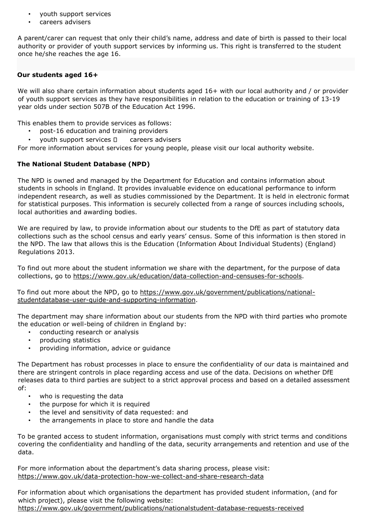- youth support services
- careers advisers

A parent/carer can request that only their child's name, address and date of birth is passed to their local authority or provider of youth support services by informing us. This right is transferred to the student once he/she reaches the age 16.

#### **Our students aged 16+**

We will also share certain information about students aged 16+ with our local authority and / or provider of youth support services as they have responsibilities in relation to the education or training of 13-19 year olds under section 507B of the Education Act 1996.

This enables them to provide services as follows:

- post-16 education and training providers
- youth support services  $\Box$  careers advisers

For more information about services for young people, please visit our local authority website.

### **The National Student Database (NPD)**

The NPD is owned and managed by the Department for Education and contains information about students in schools in England. It provides invaluable evidence on educational performance to inform independent research, as well as studies commissioned by the Department. It is held in electronic format for statistical purposes. This information is securely collected from a range of sources including schools, local authorities and awarding bodies.

We are required by law, to provide information about our students to the DfE as part of statutory data collections such as the school census and early years' census. Some of this information is then stored in the NPD. The law that allows this is the Education (Information About Individual Students) (England) Regulations 2013.

To find out more about the student information we share with the department, for the purpose of data collections, go to [https://www.gov.uk/education/data-collection-and-censuses-for-schools.](https://www.gov.uk/education/data-collection-and-censuses-for-schools) 

To find out more about the NPD, go to [https://www.gov.uk/government/publications/national](https://www.gov.uk/government/publications/national-pupil-database-user-guide-and-supporting-information)[studentdatabase-user-guide-and-supporting-information.](https://www.gov.uk/government/publications/national-pupil-database-user-guide-and-supporting-information) 

The department may share information about our students from the NPD with third parties who promote the education or well-being of children in England by:

- conducting research or analysis
- producing statistics
- providing information, advice or guidance

The Department has robust processes in place to ensure the confidentiality of our data is maintained and there are stringent controls in place regarding access and use of the data. Decisions on whether DfE releases data to third parties are subject to a strict approval process and based on a detailed assessment of:

- who is requesting the data
- the purpose for which it is required
- the level and sensitivity of data requested: and
- the arrangements in place to store and handle the data

To be granted access to student information, organisations must comply with strict terms and conditions covering the confidentiality and handling of the data, security arrangements and retention and use of the data.

For more information about the department's data sharing process, please visit: <https://www.gov.uk/data-protection-how-we-collect-and-share-research-data>

For information about which organisations the department has provided student information, (and for which project), please visit the following website[:](https://www.gov.uk/government/publications/national-pupil-database-requests-received)

[https://www.gov.uk/government/publications/nationalstudent-database-requests-received](https://www.gov.uk/government/publications/national-pupil-database-requests-received)